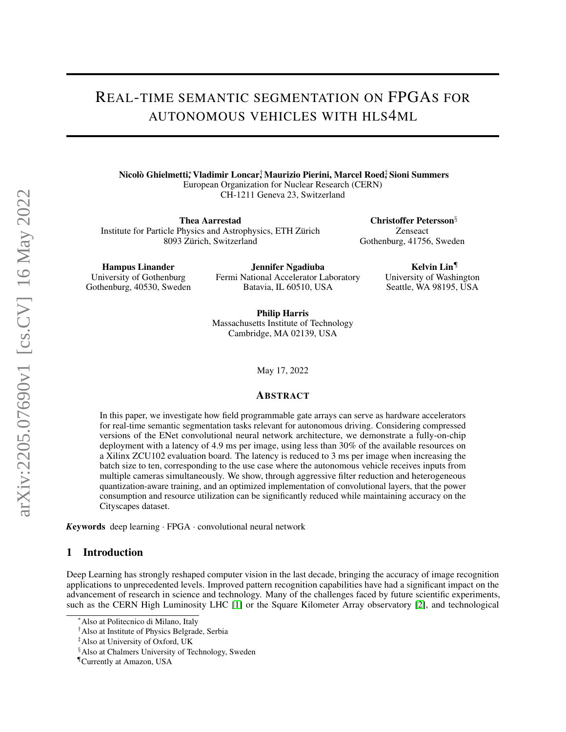# REAL-TIME SEMANTIC SEGMENTATION ON FPGAS FOR AUTONOMOUS VEHICLES WITH HLS4ML

Nicolò Ghielmetti,\* Vladimir Loncar,† Maurizio Pierini, Marcel Roed‡ Sioni Summers European Organization for Nuclear Research (CERN) CH-1211 Geneva 23, Switzerland

Thea Aarrestad Institute for Particle Physics and Astrophysics, ETH Zürich 8093 Zürich, Switzerland

Christoffer Petersson§ Zenseact Gothenburg, 41756, Sweden

> Kelvin Lin¶ University of Washington Seattle, WA 98195, USA

Hampus Linander University of Gothenburg Gothenburg, 40530, Sweden

Jennifer Ngadiuba Fermi National Accelerator Laboratory Batavia, IL 60510, USA

Philip Harris Massachusetts Institute of Technology Cambridge, MA 02139, USA

May 17, 2022

#### ABSTRACT

In this paper, we investigate how field programmable gate arrays can serve as hardware accelerators for real-time semantic segmentation tasks relevant for autonomous driving. Considering compressed versions of the ENet convolutional neural network architecture, we demonstrate a fully-on-chip deployment with a latency of 4.9 ms per image, using less than 30% of the available resources on a Xilinx ZCU102 evaluation board. The latency is reduced to 3 ms per image when increasing the batch size to ten, corresponding to the use case where the autonomous vehicle receives inputs from multiple cameras simultaneously. We show, through aggressive filter reduction and heterogeneous quantization-aware training, and an optimized implementation of convolutional layers, that the power consumption and resource utilization can be significantly reduced while maintaining accuracy on the Cityscapes dataset.

*K*eywords deep learning · FPGA · convolutional neural network

### 1 Introduction

Deep Learning has strongly reshaped computer vision in the last decade, bringing the accuracy of image recognition applications to unprecedented levels. Improved pattern recognition capabilities have had a significant impact on the advancement of research in science and technology. Many of the challenges faced by future scientific experiments, such as the CERN High Luminosity LHC [\[1\]](#page-10-0) or the Square Kilometer Array observatory [\[2\]](#page-10-1), and technological

<sup>∗</sup>Also at Politecnico di Milano, Italy

<sup>†</sup>Also at Institute of Physics Belgrade, Serbia

<sup>‡</sup>Also at University of Oxford, UK

<sup>§</sup>Also at Chalmers University of Technology, Sweden

<sup>¶</sup>Currently at Amazon, USA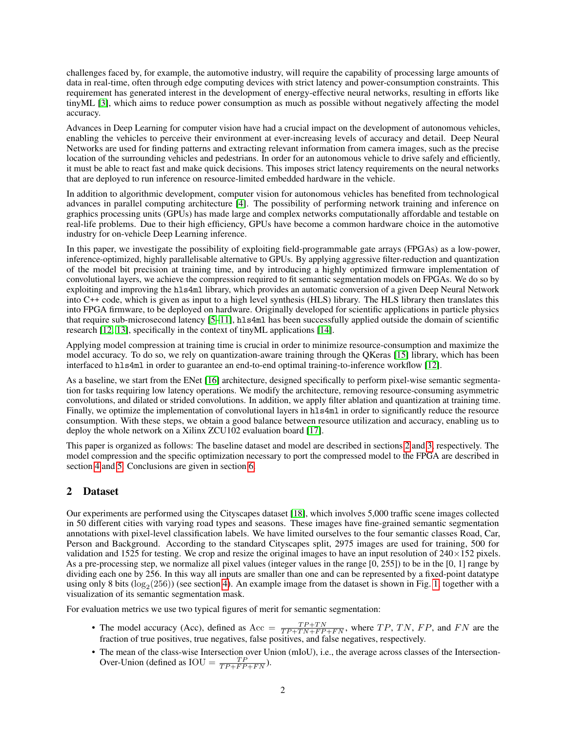challenges faced by, for example, the automotive industry, will require the capability of processing large amounts of data in real-time, often through edge computing devices with strict latency and power-consumption constraints. This requirement has generated interest in the development of energy-effective neural networks, resulting in efforts like tinyML [\[3\]](#page-10-2), which aims to reduce power consumption as much as possible without negatively affecting the model accuracy.

Advances in Deep Learning for computer vision have had a crucial impact on the development of autonomous vehicles, enabling the vehicles to perceive their environment at ever-increasing levels of accuracy and detail. Deep Neural Networks are used for finding patterns and extracting relevant information from camera images, such as the precise location of the surrounding vehicles and pedestrians. In order for an autonomous vehicle to drive safely and efficiently, it must be able to react fast and make quick decisions. This imposes strict latency requirements on the neural networks that are deployed to run inference on resource-limited embedded hardware in the vehicle.

In addition to algorithmic development, computer vision for autonomous vehicles has benefited from technological advances in parallel computing architecture [\[4\]](#page-10-3). The possibility of performing network training and inference on graphics processing units (GPUs) has made large and complex networks computationally affordable and testable on real-life problems. Due to their high efficiency, GPUs have become a common hardware choice in the automotive industry for on-vehicle Deep Learning inference.

In this paper, we investigate the possibility of exploiting field-programmable gate arrays (FPGAs) as a low-power, inference-optimized, highly parallelisable alternative to GPUs. By applying aggressive filter-reduction and quantization of the model bit precision at training time, and by introducing a highly optimized firmware implementation of convolutional layers, we achieve the compression required to fit semantic segmentation models on FPGAs. We do so by exploiting and improving the hls4ml library, which provides an automatic conversion of a given Deep Neural Network into C++ code, which is given as input to a high level synthesis (HLS) library. The HLS library then translates this into FPGA firmware, to be deployed on hardware. Originally developed for scientific applications in particle physics that require sub-microsecond latency [\[5](#page-10-4)[–11\]](#page-10-5), hls4ml has been successfully applied outside the domain of scientific research [\[12,](#page-10-6) [13\]](#page-10-7), specifically in the context of tinyML applications [\[14\]](#page-10-8).

Applying model compression at training time is crucial in order to minimize resource-consumption and maximize the model accuracy. To do so, we rely on quantization-aware training through the QKeras [\[15\]](#page-10-9) library, which has been interfaced to hls4ml in order to guarantee an end-to-end optimal training-to-inference workflow [\[12\]](#page-10-6).

As a baseline, we start from the ENet [\[16\]](#page-10-10) architecture, designed specifically to perform pixel-wise semantic segmentation for tasks requiring low latency operations. We modify the architecture, removing resource-consuming asymmetric convolutions, and dilated or strided convolutions. In addition, we apply filter ablation and quantization at training time. Finally, we optimize the implementation of convolutional layers in hls4ml in order to significantly reduce the resource consumption. With these steps, we obtain a good balance between resource utilization and accuracy, enabling us to deploy the whole network on a Xilinx ZCU102 evaluation board [\[17\]](#page-10-11).

This paper is organized as follows: The baseline dataset and model are described in sections [2](#page-1-0) and [3,](#page-2-0) respectively. The model compression and the specific optimization necessary to port the compressed model to the FPGA are described in section [4](#page-2-1) and [5.](#page-6-0) Conclusions are given in section [6.](#page-8-0)

# <span id="page-1-0"></span>2 Dataset

Our experiments are performed using the Cityscapes dataset [\[18\]](#page-10-12), which involves 5,000 traffic scene images collected in 50 different cities with varying road types and seasons. These images have fine-grained semantic segmentation annotations with pixel-level classification labels. We have limited ourselves to the four semantic classes Road, Car, Person and Background. According to the standard Cityscapes split, 2975 images are used for training, 500 for validation and 1525 for testing. We crop and resize the original images to have an input resolution of  $240\times152$  pixels. As a pre-processing step, we normalize all pixel values (integer values in the range [0, 255]) to be in the [0, 1] range by dividing each one by 256. In this way all inputs are smaller than one and can be represented by a fixed-point datatype using only 8 bits  $(log_2(256))$  (see section [4\)](#page-2-1). An example image from the dataset is shown in Fig. [1,](#page-2-2) together with a visualization of its semantic segmentation mask.

For evaluation metrics we use two typical figures of merit for semantic segmentation:

- The model accuracy (Acc), defined as  $Acc = \frac{TP+TN}{TP+TN+FP+FN}$ , where  $TP$ ,  $TN$ ,  $FP$ , and  $FN$  are the fraction of true positives, true negatives, false positives, and false negatives, respectively.
- The mean of the class-wise Intersection over Union (mIoU), i.e., the average across classes of the Intersection-Over-Union (defined as  $\text{IOU} = \frac{TP}{TP + FP + FN}$ ).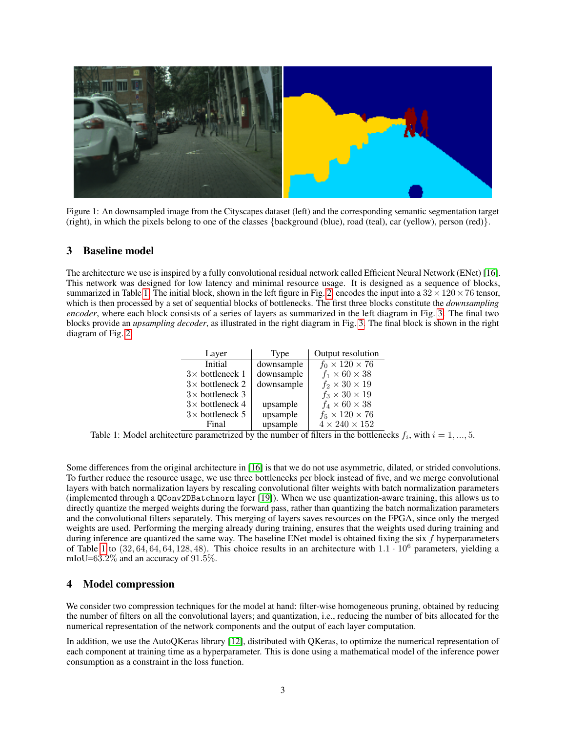

<span id="page-2-2"></span>Figure 1: An downsampled image from the Cityscapes dataset (left) and the corresponding semantic segmentation target (right), in which the pixels belong to one of the classes {background (blue), road (teal), car (yellow), person (red)}.

## <span id="page-2-0"></span>3 Baseline model

The architecture we use is inspired by a fully convolutional residual network called Efficient Neural Network (ENet) [\[16\]](#page-10-10). This network was designed for low latency and minimal resource usage. It is designed as a sequence of blocks, summarized in Table [1.](#page-2-3) The initial block, shown in the left figure in Fig. [2,](#page-3-0) encodes the input into a  $32 \times 120 \times 76$  tensor, which is then processed by a set of sequential blocks of bottlenecks. The first three blocks constitute the *downsampling encoder*, where each block consists of a series of layers as summarized in the left diagram in Fig. [3.](#page-4-0) The final two blocks provide an *upsampling decoder*, as illustrated in the right diagram in Fig. [3.](#page-4-0) The final block is shown in the right diagram of Fig. [2.](#page-3-0)

| Layer                  | Type       | Output resolution          |
|------------------------|------------|----------------------------|
| Initial                | downsample | $f_0 \times 120 \times 76$ |
| $3\times$ bottleneck 1 | downsample | $f_1 \times 60 \times 38$  |
| $3\times$ bottleneck 2 | downsample | $f_2 \times 30 \times 19$  |
| $3\times$ bottleneck 3 |            | $f_3 \times 30 \times 19$  |
| $3\times$ bottleneck 4 | upsample   | $f_4 \times 60 \times 38$  |
| $3\times$ bottleneck 5 | upsample   | $f_5 \times 120 \times 76$ |
| Final                  | upsample   | $4 \times 240 \times 152$  |

<span id="page-2-3"></span>Table 1: Model architecture parametrized by the number of filters in the bottlenecks  $f_i$ , with  $i = 1, ..., 5$ .

Some differences from the original architecture in [\[16\]](#page-10-10) is that we do not use asymmetric, dilated, or strided convolutions. To further reduce the resource usage, we use three bottlenecks per block instead of five, and we merge convolutional layers with batch normalization layers by rescaling convolutional filter weights with batch normalization parameters (implemented through a QConv2DBatchnorm layer [\[19\]](#page-10-13)). When we use quantization-aware training, this allows us to directly quantize the merged weights during the forward pass, rather than quantizing the batch normalization parameters and the convolutional filters separately. This merging of layers saves resources on the FPGA, since only the merged weights are used. Performing the merging already during training, ensures that the weights used during training and during inference are quantized the same way. The baseline ENet model is obtained fixing the six f hyperparameters of Table [1](#page-2-3) to  $(32, 64, 64, 64, 128, 48)$ . This choice results in an architecture with  $1.1 \cdot 10^6$  parameters, yielding a mIoU=63.2% and an accuracy of 91.5%.

## <span id="page-2-1"></span>4 Model compression

We consider two compression techniques for the model at hand: filter-wise homogeneous pruning, obtained by reducing the number of filters on all the convolutional layers; and quantization, i.e., reducing the number of bits allocated for the numerical representation of the network components and the output of each layer computation.

In addition, we use the AutoQKeras library [\[12\]](#page-10-6), distributed with QKeras, to optimize the numerical representation of each component at training time as a hyperparameter. This is done using a mathematical model of the inference power consumption as a constraint in the loss function.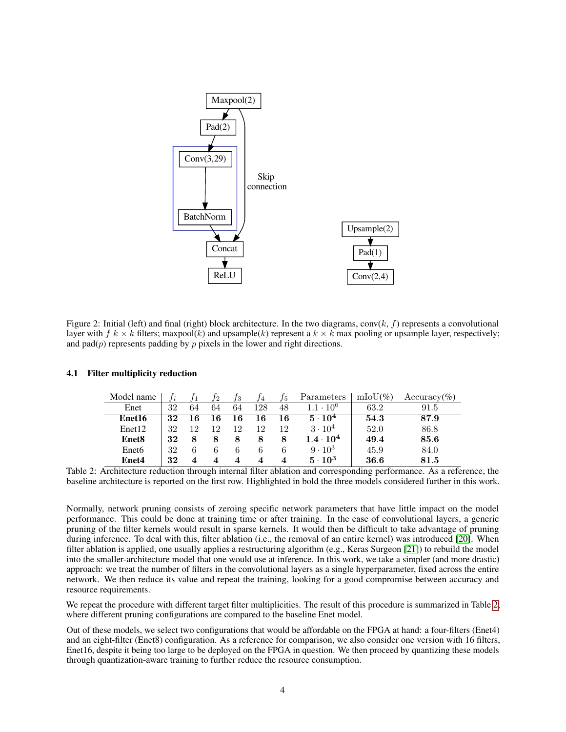

<span id="page-3-0"></span>Figure 2: Initial (left) and final (right) block architecture. In the two diagrams, conv $(k, f)$  represents a convolutional layer with  $f k \times k$  filters; maxpool(k) and upsample(k) represent a  $k \times k$  max pooling or upsample layer, respectively; and pad $(p)$  represents padding by p pixels in the lower and right directions.

| Model name        |    |    | I2  | $f_3$ | Л4  | J5. | Parameters         | $\text{mIoU}(\%)$ | $Accuracy(\%)$ |
|-------------------|----|----|-----|-------|-----|-----|--------------------|-------------------|----------------|
| Enet              | 32 | 64 | 64  | 64    | 128 | 48  | $10^{6}$           | 63.2              | 91.5           |
| Enet16            | 32 |    | l 6 | 16    | 16  | 16  | $5 \cdot 10^4$     | 54.3              | 87.9           |
| Enet12            | 32 | 12 | 12  | 12    | 12  | 12  | $3 \cdot 10^{4}$   | 52.0              | 86.8           |
| Enet <sub>8</sub> | 32 |    | 8   | 8     | 8   | 8   | $1.4 \cdot 10^{4}$ | 49.4              | 85.6           |
| Enet <sub>6</sub> | 32 |    |     | b     |     |     | $9 \cdot 10^3$     | 45.9              | 84.0           |
| Enet4             | 32 | 4  | 4   | 4     | 4   | 4   | $5 \cdot 10^3$     | 36.6              | 81.5           |

#### 4.1 Filter multiplicity reduction

<span id="page-3-1"></span>Table 2: Architecture reduction through internal filter ablation and corresponding performance. As a reference, the baseline architecture is reported on the first row. Highlighted in bold the three models considered further in this work.

Normally, network pruning consists of zeroing specific network parameters that have little impact on the model performance. This could be done at training time or after training. In the case of convolutional layers, a generic pruning of the filter kernels would result in sparse kernels. It would then be difficult to take advantage of pruning during inference. To deal with this, filter ablation (i.e., the removal of an entire kernel) was introduced [\[20\]](#page-10-14). When filter ablation is applied, one usually applies a restructuring algorithm (e.g., Keras Surgeon [\[21\]](#page-10-15)) to rebuild the model into the smaller-architecture model that one would use at inference. In this work, we take a simpler (and more drastic) approach: we treat the number of filters in the convolutional layers as a single hyperparameter, fixed across the entire network. We then reduce its value and repeat the training, looking for a good compromise between accuracy and resource requirements.

We repeat the procedure with different target filter multiplicities. The result of this procedure is summarized in Table [2,](#page-3-1) where different pruning configurations are compared to the baseline Enet model.

Out of these models, we select two configurations that would be affordable on the FPGA at hand: a four-filters (Enet4) and an eight-filter (Enet8) configuration. As a reference for comparison, we also consider one version with 16 filters, Enet16, despite it being too large to be deployed on the FPGA in question. We then proceed by quantizing these models through quantization-aware training to further reduce the resource consumption.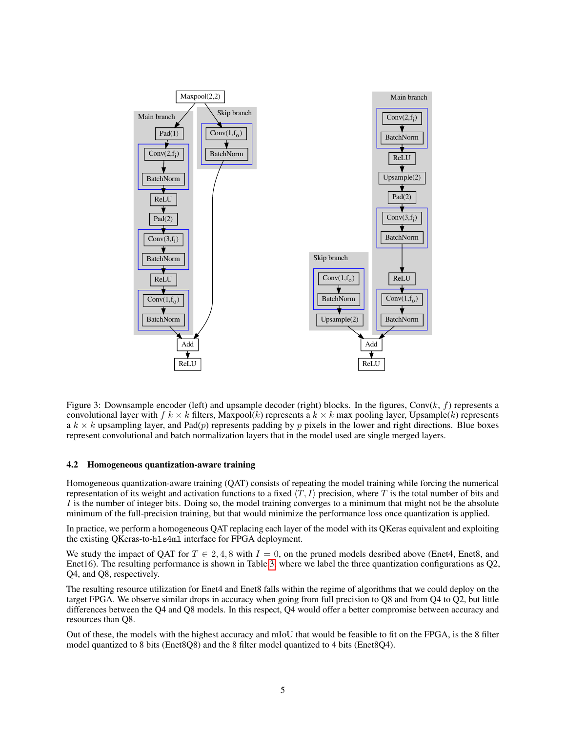

<span id="page-4-0"></span>Figure 3: Downsample encoder (left) and upsample decoder (right) blocks. In the figures, Conv( $k$ ,  $f$ ) represents a convolutional layer with  $f k \times k$  filters, Maxpool(k) represents a  $k \times k$  max pooling layer, Upsample(k) represents a  $k \times k$  upsampling layer, and Pad(p) represents padding by p pixels in the lower and right directions. Blue boxes represent convolutional and batch normalization layers that in the model used are single merged layers.

#### 4.2 Homogeneous quantization-aware training

Homogeneous quantization-aware training (QAT) consists of repeating the model training while forcing the numerical representation of its weight and activation functions to a fixed  $\langle T, I \rangle$  precision, where T is the total number of bits and I is the number of integer bits. Doing so, the model training converges to a minimum that might not be the absolute minimum of the full-precision training, but that would minimize the performance loss once quantization is applied.

In practice, we perform a homogeneous QAT replacing each layer of the model with its QKeras equivalent and exploiting the existing QKeras-to-hls4ml interface for FPGA deployment.

We study the impact of OAT for  $T \in 2, 4, 8$  with  $I = 0$ , on the pruned models desribed above (Enet4, Enet8, and Enet16). The resulting performance is shown in Table [3,](#page-5-0) where we label the three quantization configurations as Q2, Q4, and Q8, respectively.

The resulting resource utilization for Enet4 and Enet8 falls within the regime of algorithms that we could deploy on the target FPGA. We observe similar drops in accuracy when going from full precision to Q8 and from Q4 to Q2, but little differences between the Q4 and Q8 models. In this respect, Q4 would offer a better compromise between accuracy and resources than Q8.

Out of these, the models with the highest accuracy and mIoU that would be feasible to fit on the FPGA, is the 8 filter model quantized to 8 bits (Enet8Q8) and the 8 filter model quantized to 4 bits (Enet8Q4).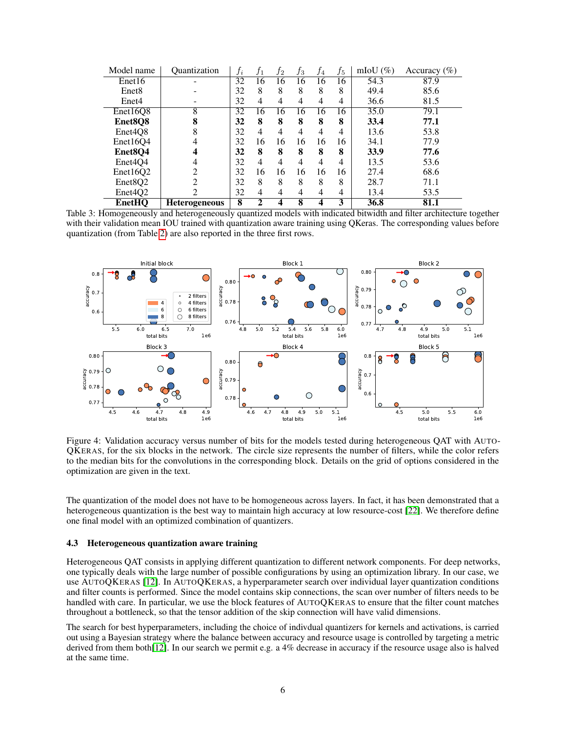| Model name                       | <i><b>Ouantization</b></i> | $f_i$ | J1 | $f_2$ | Jз             | f4 | $f_5$ | mIoU $(\%)$ | Accuracy $(\% )$ |
|----------------------------------|----------------------------|-------|----|-------|----------------|----|-------|-------------|------------------|
| Enet16                           |                            | 32    | 16 | 16    | 16             | 16 | 16    | 54.3        | 87.9             |
| Enet <sub>8</sub>                |                            | 32    | 8  | 8     | 8              | 8  | 8     | 49.4        | 85.6             |
| Enet4                            |                            | 32    | 4  | 4     | 4              | 4  | 4     | 36.6        | 81.5             |
| Enet16Q8                         | 8                          | 32    | 16 | 16    | 16             | 16 | 16    | 35.0        | 79.1             |
| Enet8Q8                          | 8                          | 32    | 8  | 8     | 8              | 8  | 8     | 33.4        | 77.1             |
| Enet <sub>4</sub> O <sub>8</sub> | 8                          | 32    | 4  | 4     | 4              | 4  | 4     | 13.6        | 53.8             |
| Enet16O4                         | 4                          | 32    | 16 | 16    | 16             | 16 | 16    | 34.1        | 77.9             |
| Enet <sub>8</sub> Q4             |                            | 32    | 8  | 8     | 8              | 8  | 8     | 33.9        | 77.6             |
| Enet <sub>4</sub> O <sub>4</sub> | 4                          | 32    | 4  | 4     | 4              | 4  | 4     | 13.5        | 53.6             |
| Enet16O2                         | ↑                          | 32    | 16 | 16    | 16             | 16 | 16    | 27.4        | 68.6             |
| Enet <sub>8</sub> O <sub>2</sub> | $\mathfrak{D}$             | 32    | 8  | 8     | 8              | 8  | 8     | 28.7        | 71.1             |
| Enet <sub>4</sub> O <sub>2</sub> | 2                          | 32    | 4  | 4     | $\overline{4}$ | 4  | 4     | 13.4        | 53.5             |
| <b>EnetHQ</b>                    | <b>Heterogeneous</b>       | 8     | 2  |       | 8              | 4  | 3     | 36.8        | 81.1             |

<span id="page-5-0"></span>Table 3: Homogeneously and heterogeneously quantized models with indicated bitwidth and filter architecture together with their validation mean IOU trained with quantization aware training using QKeras. The corresponding values before quantization (from Table [2\)](#page-3-1) are also reported in the three first rows.



<span id="page-5-1"></span>Figure 4: Validation accuracy versus number of bits for the models tested during heterogeneous QAT with AUTO-QKERAS, for the six blocks in the network. The circle size represents the number of filters, while the color refers to the median bits for the convolutions in the corresponding block. Details on the grid of options considered in the optimization are given in the text.

The quantization of the model does not have to be homogeneous across layers. In fact, it has been demonstrated that a heterogeneous quantization is the best way to maintain high accuracy at low resource-cost [\[22\]](#page-10-16). We therefore define one final model with an optimized combination of quantizers.

#### 4.3 Heterogeneous quantization aware training

Heterogeneous QAT consists in applying different quantization to different network components. For deep networks, one typically deals with the large number of possible configurations by using an optimization library. In our case, we use AUTOQKERAS [\[12\]](#page-10-6). In AUTOQKERAS, a hyperparameter search over individual layer quantization conditions and filter counts is performed. Since the model contains skip connections, the scan over number of filters needs to be handled with care. In particular, we use the block features of AUTOQKERAS to ensure that the filter count matches throughout a bottleneck, so that the tensor addition of the skip connection will have valid dimensions.

The search for best hyperparameters, including the choice of indivdual quantizers for kernels and activations, is carried out using a Bayesian strategy where the balance between accuracy and resource usage is controlled by targeting a metric derived from them both[\[12\]](#page-10-6). In our search we permit e.g. a 4% decrease in accuracy if the resource usage also is halved at the same time.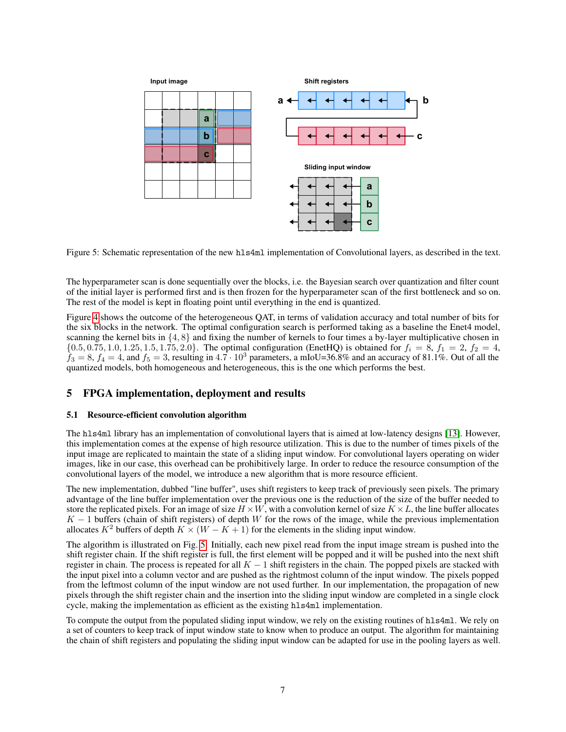

<span id="page-6-1"></span>Figure 5: Schematic representation of the new hls4ml implementation of Convolutional layers, as described in the text.

The hyperparameter scan is done sequentially over the blocks, i.e. the Bayesian search over quantization and filter count of the initial layer is performed first and is then frozen for the hyperparameter scan of the first bottleneck and so on. The rest of the model is kept in floating point until everything in the end is quantized.

Figure [4](#page-5-1) shows the outcome of the heterogeneous QAT, in terms of validation accuracy and total number of bits for the six blocks in the network. The optimal configuration search is performed taking as a baseline the Enet4 model, scanning the kernel bits in  $\{4, 8\}$  and fixing the number of kernels to four times a by-layer multiplicative chosen in  ${0.5, 0.75, 1.0, 1.25, 1.5, 1.75, 2.0}$ . The optimal configuration (EnetHQ) is obtained for  $f_i = 8, f_1 = 2, f_2 = 4$ ,  $f_3 = 8$ ,  $f_4 = 4$ , and  $f_5 = 3$ , resulting in 4.7 · 10<sup>3</sup> parameters, a mIoU=36.8% and an accuracy of 81.1%. Out of all the quantized models, both homogeneous and heterogeneous, this is the one which performs the best.

# <span id="page-6-0"></span>5 FPGA implementation, deployment and results

#### 5.1 Resource-efficient convolution algorithm

The hls4ml library has an implementation of convolutional layers that is aimed at low-latency designs [\[13\]](#page-10-7). However, this implementation comes at the expense of high resource utilization. This is due to the number of times pixels of the input image are replicated to maintain the state of a sliding input window. For convolutional layers operating on wider images, like in our case, this overhead can be prohibitively large. In order to reduce the resource consumption of the convolutional layers of the model, we introduce a new algorithm that is more resource efficient.

The new implementation, dubbed "line buffer", uses shift registers to keep track of previously seen pixels. The primary advantage of the line buffer implementation over the previous one is the reduction of the size of the buffer needed to store the replicated pixels. For an image of size  $H \times W$ , with a convolution kernel of size  $K \times L$ , the line buffer allocates  $K - 1$  buffers (chain of shift registers) of depth W for the rows of the image, while the previous implementation allocates  $K^2$  buffers of depth  $K \times (W - K + 1)$  for the elements in the sliding input window.

The algorithm is illustrated on Fig. [5.](#page-6-1) Initially, each new pixel read from the input image stream is pushed into the shift register chain. If the shift register is full, the first element will be popped and it will be pushed into the next shift register in chain. The process is repeated for all  $K - 1$  shift registers in the chain. The popped pixels are stacked with the input pixel into a column vector and are pushed as the rightmost column of the input window. The pixels popped from the leftmost column of the input window are not used further. In our implementation, the propagation of new pixels through the shift register chain and the insertion into the sliding input window are completed in a single clock cycle, making the implementation as efficient as the existing hls4ml implementation.

To compute the output from the populated sliding input window, we rely on the existing routines of hls4ml. We rely on a set of counters to keep track of input window state to know when to produce an output. The algorithm for maintaining the chain of shift registers and populating the sliding input window can be adapted for use in the pooling layers as well.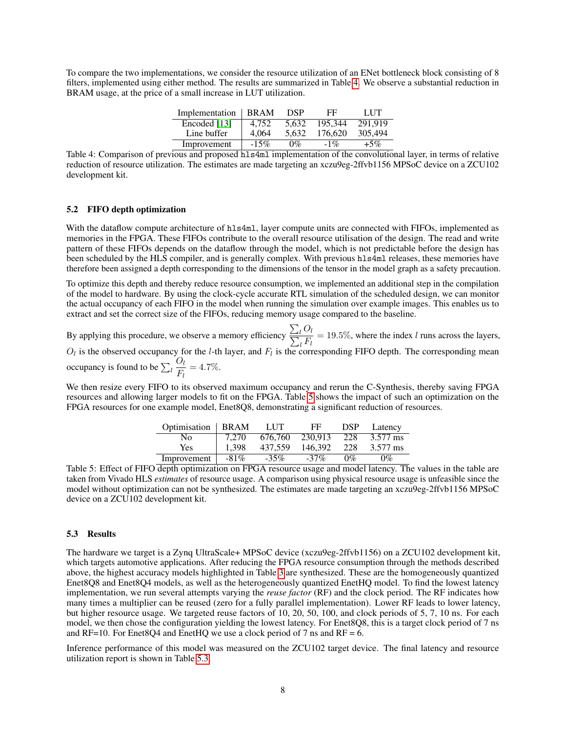To compare the two implementations, we consider the resource utilization of an ENet bottleneck block consisting of 8 filters, implemented using either method. The results are summarized in Table [4.](#page-7-0) We observe a substantial reduction in BRAM usage, at the price of a small increase in LUT utilization.

| Implementation | <b>BRAM</b> | <b>DSP</b> | FF      | LUT     |
|----------------|-------------|------------|---------|---------|
| Encoded [13]   | 4.752       | 5.632      | 195.344 | 291.919 |
| Line buffer    | 4.064       | 5.632      | 176.620 | 305,494 |
| Improvement    | $-15%$      | $0\%$      | $-1\%$  | $+5\%$  |

<span id="page-7-0"></span>Table 4: Comparison of previous and proposed hls4ml implementation of the convolutional layer, in terms of relative reduction of resource utilization. The estimates are made targeting an xczu9eg-2ffvb1156 MPSoC device on a ZCU102 development kit.

#### 5.2 FIFO depth optimization

With the dataflow compute architecture of hls4ml, layer compute units are connected with FIFOs, implemented as memories in the FPGA. These FIFOs contribute to the overall resource utilisation of the design. The read and write pattern of these FIFOs depends on the dataflow through the model, which is not predictable before the design has been scheduled by the HLS compiler, and is generally complex. With previous hls4ml releases, these memories have therefore been assigned a depth corresponding to the dimensions of the tensor in the model graph as a safety precaution.

To optimize this depth and thereby reduce resource consumption, we implemented an additional step in the compilation of the model to hardware. By using the clock-cycle accurate RTL simulation of the scheduled design, we can monitor the actual occupancy of each FIFO in the model when running the simulation over example images. This enables us to extract and set the correct size of the FIFOs, reducing memory usage compared to the baseline.

By applying this procedure, we observe a memory efficiency  $\sum_{n=1}^{\infty}$ P  $\iota O_l$  $\frac{l}{l} = 19.5\%$ , where the index l runs across the layers,  $O_l$  is the observed occupancy for the *l*-th layer, and  $F_l$  is the corresponding FIFO depth. The corresponding mean occupancy is found to be  $\sum_{l}$  $O_l$  $\frac{G_l}{F_l} = 4.7\%.$ 

We then resize every FIFO to its observed maximum occupancy and rerun the C-Synthesis, thereby saving FPGA resources and allowing larger models to fit on the FPGA. Table [5](#page-7-1) shows the impact of such an optimization on the FPGA resources for one example model, Enet8Q8, demonstrating a significant reduction of resources.

| Optimisation | <b>BRAM</b> | LUT     | FF      | <b>DSP</b> | Latency  |
|--------------|-------------|---------|---------|------------|----------|
| No           | 7.270       | 676,760 | 230.913 | -228       | 3.577 ms |
| Yes          | 1.398       | 437.559 | 146.392 | 228        | 3.577 ms |
| Improvement  | $-81\%$     | $-35%$  | $-37%$  | $0\%$      | $0\%$    |

<span id="page-7-1"></span>Table 5: Effect of FIFO depth optimization on FPGA resource usage and model latency. The values in the table are taken from Vivado HLS *estimates* of resource usage. A comparison using physical resource usage is unfeasible since the model without optimization can not be synthesized. The estimates are made targeting an xczu9eg-2ffvb1156 MPSoC device on a ZCU102 development kit.

#### <span id="page-7-2"></span>5.3 Results

The hardware we target is a Zynq UltraScale+ MPSoC device (xczu9eg-2ffvb1156) on a ZCU102 development kit, which targets automotive applications. After reducing the FPGA resource consumption through the methods described above, the highest accuracy models highlighted in Table [3](#page-5-0) are synthesized. These are the homogeneously quantized Enet8Q8 and Enet8Q4 models, as well as the heterogeneously quantized EnetHQ model. To find the lowest latency implementation, we run several attempts varying the *reuse factor* (RF) and the clock period. The RF indicates how many times a multiplier can be reused (zero for a fully parallel implementation). Lower RF leads to lower latency, but higher resource usage. We targeted reuse factors of 10, 20, 50, 100, and clock periods of 5, 7, 10 ns. For each model, we then chose the configuration yielding the lowest latency. For Enet8Q8, this is a target clock period of 7 ns and RF=10. For Enet8Q4 and EnetHQ we use a clock period of 7 ns and RF = 6.

Inference performance of this model was measured on the ZCU102 target device. The final latency and resource utilization report is shown in Table [5.3.](#page-7-2)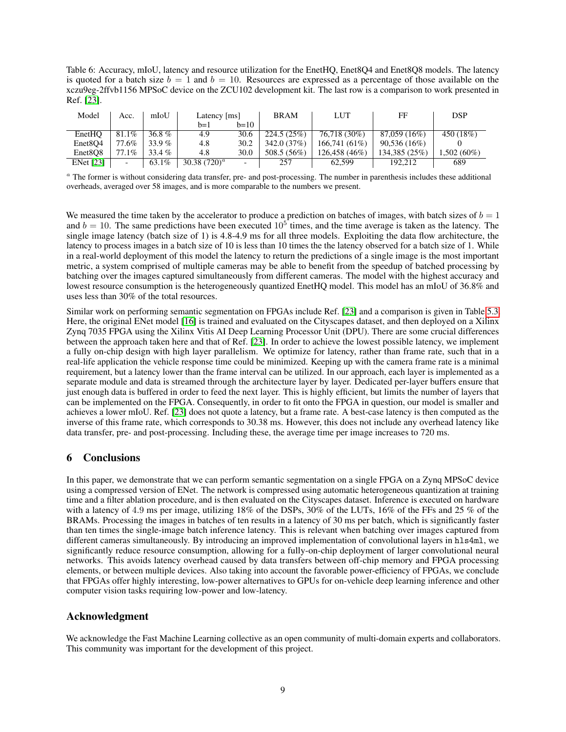Table 6: Accuracy, mIoU, latency and resource utilization for the EnetHQ, Enet8Q4 and Enet8Q8 models. The latency is quoted for a batch size  $b = 1$  and  $b = 10$ . Resources are expressed as a percentage of those available on the xczu9eg-2ffvb1156 MPSoC device on the ZCU102 development kit. The last row is a comparison to work presented in Ref. [\[23\]](#page-10-17).

| Model                            | Acc.     | mIoU     | Latency [ms]    |                          | <b>BRAM</b>  | LUT           | FF             | DSP           |
|----------------------------------|----------|----------|-----------------|--------------------------|--------------|---------------|----------------|---------------|
|                                  |          |          | b=1             | $b=10$                   |              |               |                |               |
| EnetHO                           | $81.1\%$ | 36.8 $%$ | 4.9             | 30.6                     | 224.5(25%)   | 76,718 (30%)  | 87,059 (16%)   | 450 (18%)     |
| Enet <sub>8</sub> O <sub>4</sub> | 77.6%    | 33.9 $%$ | 4.8             | 30.2                     | 342.0 (37\%) | 166.741(61%)  | $90,536(16\%)$ |               |
| Enet <sub>8</sub> O <sub>8</sub> | 77.1%    | $33.4\%$ | 4.8             | 30.0                     | 508.5 (56%)  | 126.458 (46%) | 134,385 (25%)  | $1.502(60\%)$ |
| <b>ENet</b> [23]                 |          | 63.1%    | 30.38 $(720)^a$ | $\overline{\phantom{0}}$ | 257          | 62.599        | 192.212        | 689           |

<sup>a</sup> The former is without considering data transfer, pre- and post-processing. The number in parenthesis includes these additional overheads, averaged over 58 images, and is more comparable to the numbers we present.

We measured the time taken by the accelerator to produce a prediction on batches of images, with batch sizes of  $b = 1$ and  $b = 10$ . The same predictions have been executed  $10^5$  times, and the time average is taken as the latency. The single image latency (batch size of 1) is 4.8-4.9 ms for all three models. Exploiting the data flow architecture, the latency to process images in a batch size of 10 is less than 10 times the the latency observed for a batch size of 1. While in a real-world deployment of this model the latency to return the predictions of a single image is the most important metric, a system comprised of multiple cameras may be able to benefit from the speedup of batched processing by batching over the images captured simultaneously from different cameras. The model with the highest accuracy and lowest resource consumption is the heterogeneously quantized EnetHQ model. This model has an mIoU of 36.8% and uses less than 30% of the total resources.

Similar work on performing semantic segmentation on FPGAs include Ref. [\[23\]](#page-10-17) and a comparison is given in Table [5.3.](#page-7-2) Here, the original ENet model [\[16\]](#page-10-10) is trained and evaluated on the Cityscapes dataset, and then deployed on a Xilinx Zynq 7035 FPGA using the Xilinx Vitis AI Deep Learning Processor Unit (DPU). There are some crucial differences between the approach taken here and that of Ref. [\[23\]](#page-10-17). In order to achieve the lowest possible latency, we implement a fully on-chip design with high layer parallelism. We optimize for latency, rather than frame rate, such that in a real-life application the vehicle response time could be minimized. Keeping up with the camera frame rate is a minimal requirement, but a latency lower than the frame interval can be utilized. In our approach, each layer is implemented as a separate module and data is streamed through the architecture layer by layer. Dedicated per-layer buffers ensure that just enough data is buffered in order to feed the next layer. This is highly efficient, but limits the number of layers that can be implemented on the FPGA. Consequently, in order to fit onto the FPGA in question, our model is smaller and achieves a lower mIoU. Ref. [\[23\]](#page-10-17) does not quote a latency, but a frame rate. A best-case latency is then computed as the inverse of this frame rate, which corresponds to 30.38 ms. However, this does not include any overhead latency like data transfer, pre- and post-processing. Including these, the average time per image increases to 720 ms.

# <span id="page-8-0"></span>6 Conclusions

In this paper, we demonstrate that we can perform semantic segmentation on a single FPGA on a Zynq MPSoC device using a compressed version of ENet. The network is compressed using automatic heterogeneous quantization at training time and a filter ablation procedure, and is then evaluated on the Cityscapes dataset. Inference is executed on hardware with a latency of 4.9 ms per image, utilizing 18% of the DSPs, 30% of the LUTs, 16% of the FFs and 25 % of the BRAMs. Processing the images in batches of ten results in a latency of 30 ms per batch, which is significantly faster than ten times the single-image batch inference latency. This is relevant when batching over images captured from different cameras simultaneously. By introducing an improved implementation of convolutional layers in hls4ml, we significantly reduce resource consumption, allowing for a fully-on-chip deployment of larger convolutional neural networks. This avoids latency overhead caused by data transfers between off-chip memory and FPGA processing elements, or between multiple devices. Also taking into account the favorable power-efficiency of FPGAs, we conclude that FPGAs offer highly interesting, low-power alternatives to GPUs for on-vehicle deep learning inference and other computer vision tasks requiring low-power and low-latency.

# Acknowledgment

We acknowledge the Fast Machine Learning collective as an open community of multi-domain experts and collaborators. This community was important for the development of this project.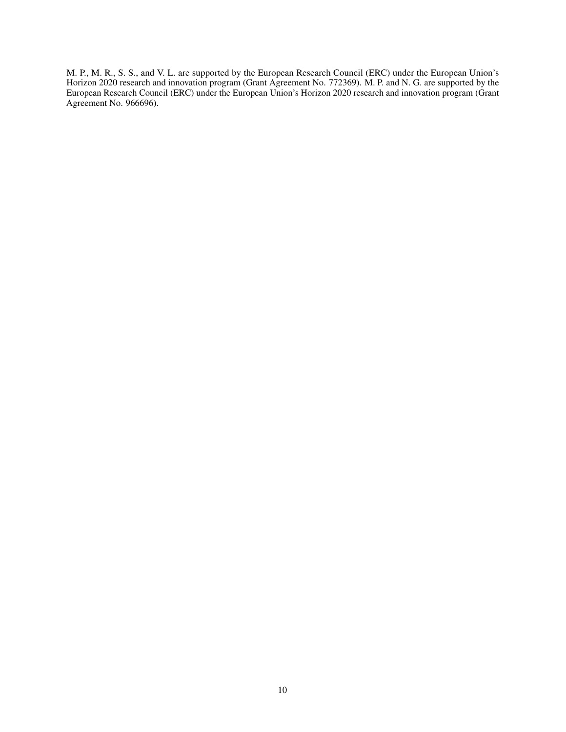M. P., M. R., S. S., and V. L. are supported by the European Research Council (ERC) under the European Union's Horizon 2020 research and innovation program (Grant Agreement No. 772369). M. P. and N. G. are supported by the European Research Council (ERC) under the European Union's Horizon 2020 research and innovation program (Grant Agreement No. 966696).